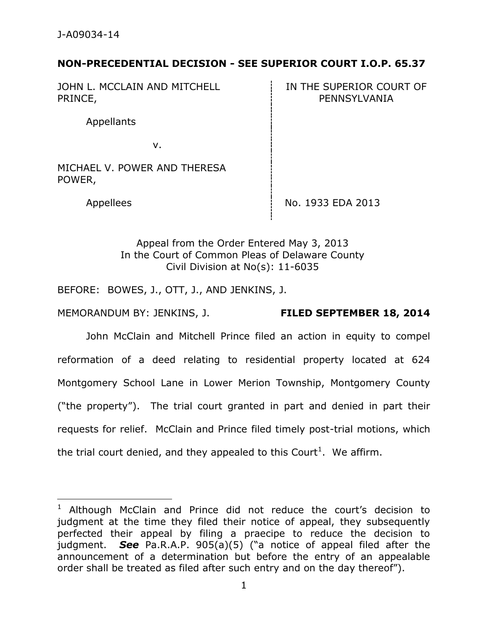## **NON-PRECEDENTIAL DECISION - SEE SUPERIOR COURT I.O.P. 65.37**

JOHN L. MCCLAIN AND MITCHELL PRINCE, IN THE SUPERIOR COURT OF PENNSYLVANIA Appellants v. MICHAEL V. POWER AND THERESA POWER,

 $\overline{a}$ 

Appellees No. 1933 EDA 2013

Appeal from the Order Entered May 3, 2013 In the Court of Common Pleas of Delaware County Civil Division at No(s): 11-6035

BEFORE: BOWES, J., OTT, J., AND JENKINS, J.

MEMORANDUM BY: JENKINS, J. **FILED SEPTEMBER 18, 2014** 

 John McClain and Mitchell Prince filed an action in equity to compel reformation of a deed relating to residential property located at 624 Montgomery School Lane in Lower Merion Township, Montgomery County ("the property"). The trial court granted in part and denied in part their requests for relief. McClain and Prince filed timely post-trial motions, which the trial court denied, and they appealed to this Court<sup>1</sup>. We affirm.

 $1$  Although McClain and Prince did not reduce the court's decision to judgment at the time they filed their notice of appeal, they subsequently perfected their appeal by filing a praecipe to reduce the decision to judgment. *See* Pa.R.A.P. 905(a)(5) ("a notice of appeal filed after the announcement of a determination but before the entry of an appealable order shall be treated as filed after such entry and on the day thereof").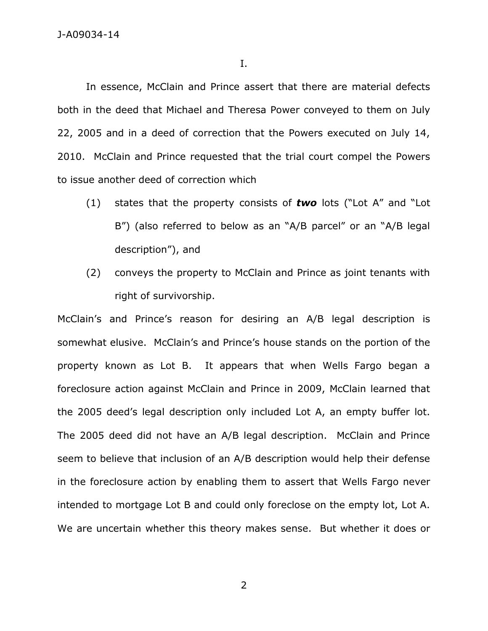I.

In essence, McClain and Prince assert that there are material defects both in the deed that Michael and Theresa Power conveyed to them on July 22, 2005 and in a deed of correction that the Powers executed on July 14, 2010. McClain and Prince requested that the trial court compel the Powers to issue another deed of correction which

- (1) states that the property consists of *two* lots ("Lot A" and "Lot B") (also referred to below as an "A/B parcel" or an "A/B legal description"), and
- (2) conveys the property to McClain and Prince as joint tenants with right of survivorship.

McClain's and Prince's reason for desiring an A/B legal description is somewhat elusive. McClain's and Prince's house stands on the portion of the property known as Lot B. It appears that when Wells Fargo began a foreclosure action against McClain and Prince in 2009, McClain learned that the 2005 deed's legal description only included Lot A, an empty buffer lot. The 2005 deed did not have an A/B legal description. McClain and Prince seem to believe that inclusion of an A/B description would help their defense in the foreclosure action by enabling them to assert that Wells Fargo never intended to mortgage Lot B and could only foreclose on the empty lot, Lot A. We are uncertain whether this theory makes sense. But whether it does or

2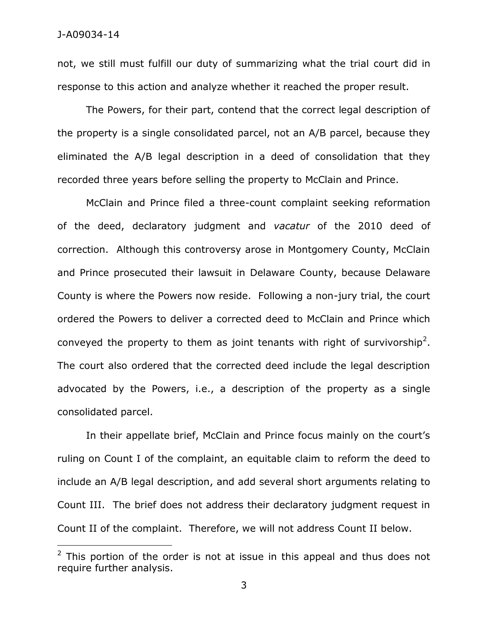$\overline{a}$ 

not, we still must fulfill our duty of summarizing what the trial court did in response to this action and analyze whether it reached the proper result.

 The Powers, for their part, contend that the correct legal description of the property is a single consolidated parcel, not an A/B parcel, because they eliminated the A/B legal description in a deed of consolidation that they recorded three years before selling the property to McClain and Prince.

McClain and Prince filed a three-count complaint seeking reformation of the deed, declaratory judgment and *vacatur* of the 2010 deed of correction. Although this controversy arose in Montgomery County, McClain and Prince prosecuted their lawsuit in Delaware County, because Delaware County is where the Powers now reside. Following a non-jury trial, the court ordered the Powers to deliver a corrected deed to McClain and Prince which conveyed the property to them as joint tenants with right of survivorship<sup>2</sup>. The court also ordered that the corrected deed include the legal description advocated by the Powers, i.e., a description of the property as a single consolidated parcel.

In their appellate brief, McClain and Prince focus mainly on the court's ruling on Count I of the complaint, an equitable claim to reform the deed to include an A/B legal description, and add several short arguments relating to Count III. The brief does not address their declaratory judgment request in Count II of the complaint. Therefore, we will not address Count II below.

 $2$  This portion of the order is not at issue in this appeal and thus does not require further analysis.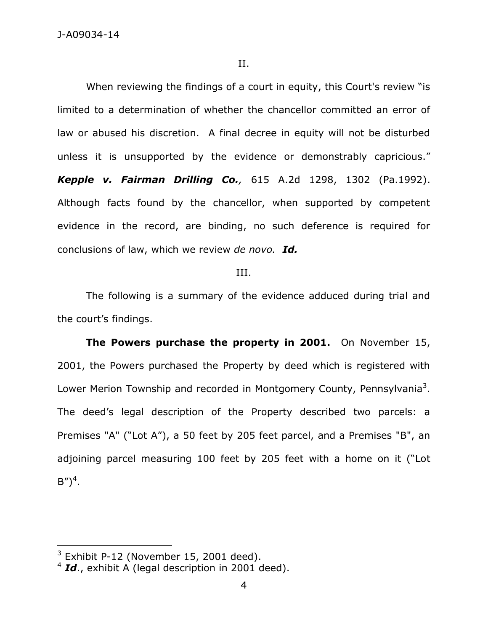When reviewing the findings of a court in equity, this Court's review "is limited to a determination of whether the chancellor committed an error of law or abused his discretion. A final decree in equity will not be disturbed unless it is unsupported by the evidence or demonstrably capricious." *Kepple v. Fairman Drilling Co.,* [615 A.2d 1298, 1302 \(Pa.1992\).](http://web2.westlaw.com/find/default.wl?mt=79&db=162&tc=-1&rp=%2ffind%2fdefault.wl&findtype=Y&ordoc=2027397962&serialnum=1992192942&vr=2.0&fn=_top&sv=Split&tf=-1&referencepositiontype=S&pbc=3DCB8F63&referenceposition=1302&rs=WLW14.07) Although facts found by the chancellor, when supported by competent evidence in the record, are binding, no such deference is required for conclusions of law, which we review *de novo. [Id.](http://web2.westlaw.com/find/default.wl?rs=WLW14.07&pbc=3DCB8F63&vr=2.0&findtype=Y&rp=%2ffind%2fdefault.wl&sv=Split&fn=_top&tf=-1&ordoc=2027397962&mt=79&serialnum=1992192942&tc=-1)* 

## III.

The following is a summary of the evidence adduced during trial and the court's findings.

**The Powers purchase the property in 2001.** On November 15, 2001, the Powers purchased the Property by deed which is registered with Lower Merion Township and recorded in Montgomery County, Pennsylvania<sup>3</sup>. The deed's legal description of the Property described two parcels: a Premises "A" ("Lot A"), a 50 feet by 205 feet parcel, and a Premises "B", an adjoining parcel measuring 100 feet by 205 feet with a home on it ("Lot  $B'')^4$ .

 $3$  Exhibit P-12 (November 15, 2001 deed).

<sup>4</sup> *Id*., exhibit A (legal description in 2001 deed).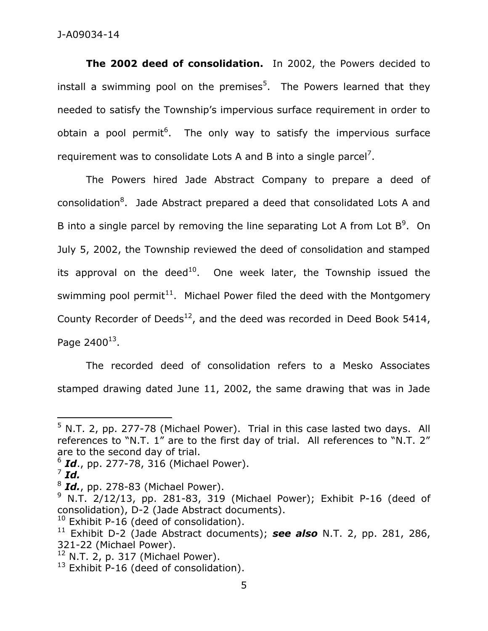**The 2002 deed of consolidation.** In 2002, the Powers decided to install a swimming pool on the premises<sup>5</sup>. The Powers learned that they needed to satisfy the Township's impervious surface requirement in order to obtain a pool permit<sup>6</sup>. The only way to satisfy the impervious surface requirement was to consolidate Lots A and B into a single parcel<sup>7</sup>.

The Powers hired Jade Abstract Company to prepare a deed of consolidation<sup>8</sup>. Jade Abstract prepared a deed that consolidated Lots A and B into a single parcel by removing the line separating Lot A from Lot  $B^9$ . On July 5, 2002, the Township reviewed the deed of consolidation and stamped its approval on the deed<sup>10</sup>. One week later, the Township issued the swimming pool permit<sup>11</sup>. Michael Power filed the deed with the Montgomery County Recorder of Deeds<sup>12</sup>, and the deed was recorded in Deed Book 5414, Page 2400 $^{13}$ .

The recorded deed of consolidation refers to a Mesko Associates stamped drawing dated June 11, 2002, the same drawing that was in Jade

6 *Id*., pp. 277-78, 316 (Michael Power).

 $\overline{a}$ 

 $10$  Exhibit P-16 (deed of consolidation).

<sup>&</sup>lt;sup>5</sup> N.T. 2, pp. 277-78 (Michael Power). Trial in this case lasted two days. All references to "N.T. 1" are to the first day of trial. All references to "N.T. 2" are to the second day of trial.

<sup>7</sup> *Id.* 

<sup>8</sup> *Id.*, pp. 278-83 (Michael Power).

 $^9$  N.T. 2/12/13, pp. 281-83, 319 (Michael Power); Exhibit P-16 (deed of consolidation), D-2 (Jade Abstract documents).

<sup>11</sup> Exhibit D-2 (Jade Abstract documents); *see also* N.T. 2, pp. 281, 286, 321-22 (Michael Power).

 $12$  N.T. 2, p. 317 (Michael Power).

 $13$  Exhibit P-16 (deed of consolidation).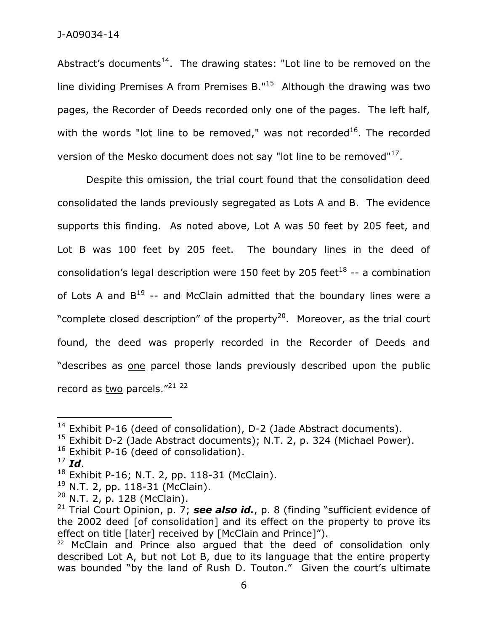Abstract's documents<sup>14</sup>. The drawing states: "Lot line to be removed on the line dividing Premises A from Premises B."<sup>15</sup> Although the drawing was two pages, the Recorder of Deeds recorded only one of the pages. The left half, with the words "lot line to be removed," was not recorded<sup>16</sup>. The recorded version of the Mesko document does not say "lot line to be removed" $^{17}$ .

Despite this omission, the trial court found that the consolidation deed consolidated the lands previously segregated as Lots A and B. The evidence supports this finding. As noted above, Lot A was 50 feet by 205 feet, and Lot B was 100 feet by 205 feet. The boundary lines in the deed of consolidation's legal description were 150 feet by 205 feet $^{18}$  -- a combination of Lots A and  $B^{19}$  -- and McClain admitted that the boundary lines were a "complete closed description" of the property<sup>20</sup>. Moreover, as the trial court found, the deed was properly recorded in the Recorder of Deeds and "describes as one parcel those lands previously described upon the public record as two parcels."<sup>21 22</sup>

- <sup>16</sup> Exhibit P-16 (deed of consolidation).
- $17 \,$  **Id**.

<sup>&</sup>lt;sup>14</sup> Exhibit P-16 (deed of consolidation), D-2 (Jade Abstract documents).

<sup>&</sup>lt;sup>15</sup> Exhibit D-2 (Jade Abstract documents); N.T. 2, p. 324 (Michael Power).

 $18$  Exhibit P-16; N.T. 2, pp. 118-31 (McClain).

<sup>&</sup>lt;sup>19</sup> N.T. 2, pp. 118-31 (McClain).

 $20$  N.T. 2, p. 128 (McClain).

<sup>&</sup>lt;sup>21</sup> Trial Court Opinion, p. 7; **see also id.**, p. 8 (finding "sufficient evidence of the 2002 deed [of consolidation] and its effect on the property to prove its effect on title [later] received by [McClain and Prince]").

<sup>&</sup>lt;sup>22</sup> McClain and Prince also argued that the deed of consolidation only described Lot A, but not Lot B, due to its language that the entire property was bounded "by the land of Rush D. Touton." Given the court's ultimate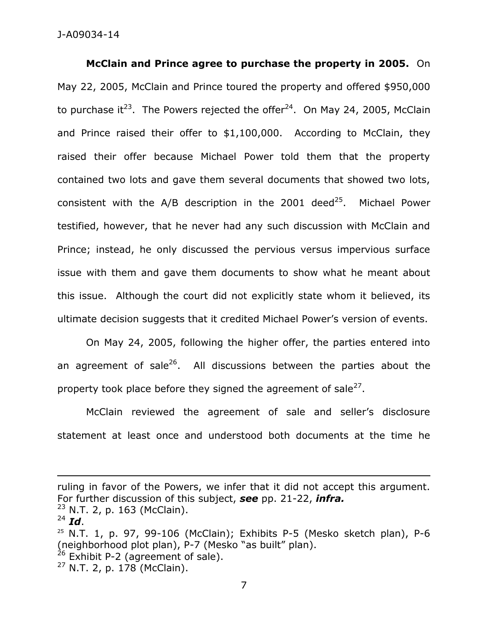**McClain and Prince agree to purchase the property in 2005.** On May 22, 2005, McClain and Prince toured the property and offered \$950,000 to purchase it<sup>23</sup>. The Powers rejected the offer<sup>24</sup>. On May 24, 2005, McClain and Prince raised their offer to \$1,100,000. According to McClain, they raised their offer because Michael Power told them that the property contained two lots and gave them several documents that showed two lots, consistent with the  $A/B$  description in the 2001 deed<sup>25</sup>. Michael Power testified, however, that he never had any such discussion with McClain and Prince; instead, he only discussed the pervious versus impervious surface issue with them and gave them documents to show what he meant about this issue. Although the court did not explicitly state whom it believed, its ultimate decision suggests that it credited Michael Power's version of events.

On May 24, 2005, following the higher offer, the parties entered into an agreement of sale<sup>26</sup>. All discussions between the parties about the property took place before they signed the agreement of sale<sup>27</sup>.

McClain reviewed the agreement of sale and seller's disclosure statement at least once and understood both documents at the time he

ruling in favor of the Powers, we infer that it did not accept this argument. For further discussion of this subject, *see* pp. 21-22, *infra.*  $23$  N.T. 2, p. 163 (McClain).

 $^{24}$  *Id.* 

 $25$  N.T. 1, p. 97, 99-106 (McClain); Exhibits P-5 (Mesko sketch plan), P-6 (neighborhood plot plan), P-7 (Mesko "as built" plan).

 $26$  Exhibit P-2 (agreement of sale).

 $27$  N.T. 2, p. 178 (McClain).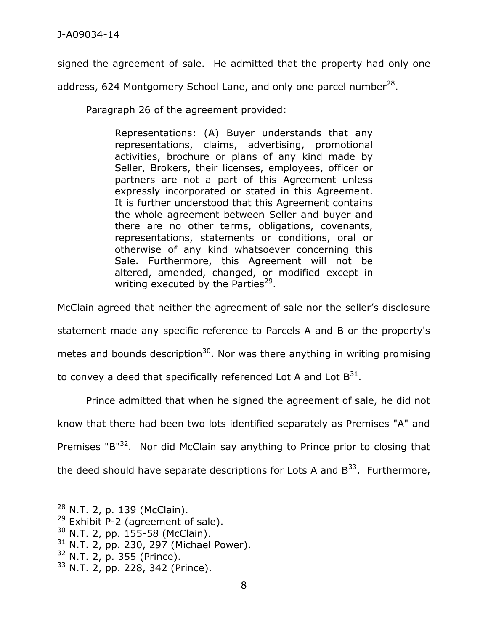signed the agreement of sale. He admitted that the property had only one

address, 624 Montgomery School Lane, and only one parcel number<sup>28</sup>.

Paragraph 26 of the agreement provided:

Representations: (A) Buyer understands that any representations, claims, advertising, promotional activities, brochure or plans of any kind made by Seller, Brokers, their licenses, employees, officer or partners are not a part of this Agreement unless expressly incorporated or stated in this Agreement. It is further understood that this Agreement contains the whole agreement between Seller and buyer and there are no other terms, obligations, covenants, representations, statements or conditions, oral or otherwise of any kind whatsoever concerning this Sale. Furthermore, this Agreement will not be altered, amended, changed, or modified except in writing executed by the Parties<sup>29</sup>.

McClain agreed that neither the agreement of sale nor the seller's disclosure

statement made any specific reference to Parcels A and B or the property's

metes and bounds description<sup>30</sup>. Nor was there anything in writing promising

to convey a deed that specifically referenced Lot A and Lot  $B^{31}$ .

Prince admitted that when he signed the agreement of sale, he did not know that there had been two lots identified separately as Premises "A" and Premises "B"<sup>32</sup>. Nor did McClain say anything to Prince prior to closing that the deed should have separate descriptions for Lots A and  $B^{33}$ . Furthermore,

 $\overline{a}$ 

<sup>32</sup> N.T. 2, p. 355 (Prince).

 $28$  N.T. 2, p. 139 (McClain).

 $29$  Exhibit P-2 (agreement of sale).

<sup>30</sup> N.T. 2, pp. 155-58 (McClain).

<sup>31</sup> N.T. 2, pp. 230, 297 (Michael Power).

<sup>33</sup> N.T. 2, pp. 228, 342 (Prince).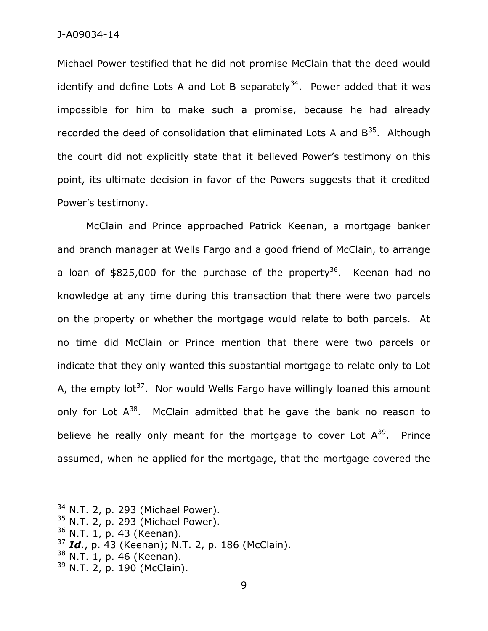Michael Power testified that he did not promise McClain that the deed would identify and define Lots A and Lot B separately<sup>34</sup>. Power added that it was impossible for him to make such a promise, because he had already recorded the deed of consolidation that eliminated Lots A and  $B^{35}$ . Although the court did not explicitly state that it believed Power's testimony on this point, its ultimate decision in favor of the Powers suggests that it credited Power's testimony.

McClain and Prince approached Patrick Keenan, a mortgage banker and branch manager at Wells Fargo and a good friend of McClain, to arrange a loan of  $$825,000$  for the purchase of the property<sup>36</sup>. Keenan had no knowledge at any time during this transaction that there were two parcels on the property or whether the mortgage would relate to both parcels. At no time did McClain or Prince mention that there were two parcels or indicate that they only wanted this substantial mortgage to relate only to Lot A, the empty lot<sup>37</sup>. Nor would Wells Fargo have willingly loaned this amount only for Lot  $A^{38}$ . McClain admitted that he gave the bank no reason to believe he really only meant for the mortgage to cover Lot  $A^{39}$ . Prince assumed, when he applied for the mortgage, that the mortgage covered the

<sup>&</sup>lt;sup>34</sup> N.T. 2, p. 293 (Michael Power).

 $35$  N.T. 2, p. 293 (Michael Power).

<sup>36</sup> N.T. 1, p. 43 (Keenan).

<sup>37</sup> *Id*., p. 43 (Keenan); N.T. 2, p. 186 (McClain).

 $38$  N.T. 1, p. 46 (Keenan).

<sup>&</sup>lt;sup>39</sup> N.T. 2, p. 190 (McClain).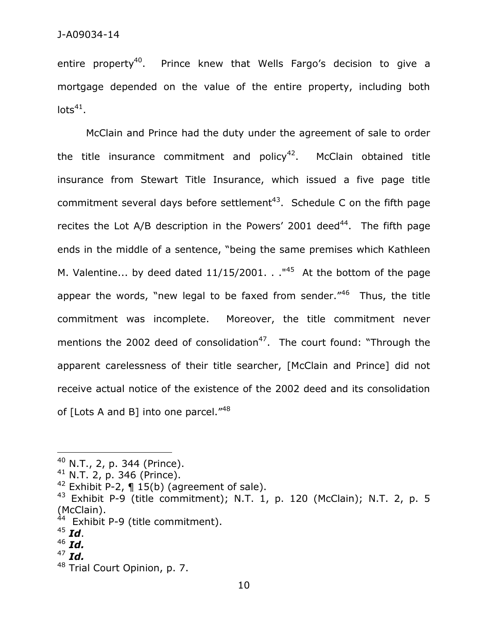entire property<sup>40</sup>. Prince knew that Wells Fargo's decision to give a mortgage depended on the value of the entire property, including both lots $^{41}$ .

McClain and Prince had the duty under the agreement of sale to order the title insurance commitment and policy<sup>42</sup>. McClain obtained title insurance from Stewart Title Insurance, which issued a five page title commitment several days before settlement<sup>43</sup>. Schedule C on the fifth page recites the Lot A/B description in the Powers' 2001 deed<sup>44</sup>. The fifth page ends in the middle of a sentence, "being the same premises which Kathleen M. Valentine... by deed dated  $11/15/2001$ ..."<sup>45</sup> At the bottom of the page appear the words, "new legal to be faxed from sender."<sup>46</sup> Thus, the title commitment was incomplete. Moreover, the title commitment never mentions the 2002 deed of consolidation<sup>47</sup>. The court found: "Through the apparent carelessness of their title searcher, [McClain and Prince] did not receive actual notice of the existence of the 2002 deed and its consolidation of [Lots A and B] into one parcel."<sup>48</sup>

 $\overline{a}$ 

<sup>47</sup> *Id.* 

<sup>40</sup> N.T., 2, p. 344 (Prince).

 $41$  N.T. 2, p. 346 (Prince).

<sup>&</sup>lt;sup>42</sup> Exhibit P-2,  $\P$  15(b) (agreement of sale).

<sup>&</sup>lt;sup>43</sup> Exhibit P-9 (title commitment); N.T. 1, p. 120 (McClain); N.T. 2, p. 5 (McClain).

<sup>&</sup>lt;sup>44</sup> Exhibit P-9 (title commitment).

<sup>45</sup> *Id*.

<sup>46</sup> *Id.* 

<sup>&</sup>lt;sup>48</sup> Trial Court Opinion, p. 7.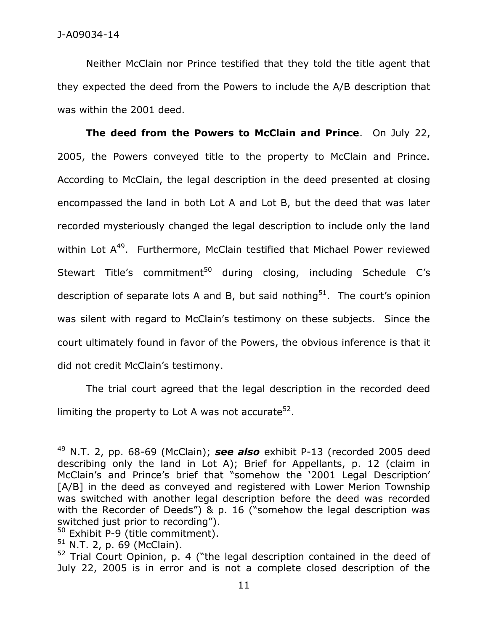Neither McClain nor Prince testified that they told the title agent that they expected the deed from the Powers to include the A/B description that was within the 2001 deed.

**The deed from the Powers to McClain and Prince**. On July 22, 2005, the Powers conveyed title to the property to McClain and Prince. According to McClain, the legal description in the deed presented at closing encompassed the land in both Lot A and Lot B, but the deed that was later recorded mysteriously changed the legal description to include only the land within Lot  $A^{49}$ . Furthermore, McClain testified that Michael Power reviewed Stewart Title's commitment<sup>50</sup> during closing, including Schedule C's description of separate lots A and B, but said nothing<sup>51</sup>. The court's opinion was silent with regard to McClain's testimony on these subjects. Since the court ultimately found in favor of the Powers, the obvious inference is that it did not credit McClain's testimony.

The trial court agreed that the legal description in the recorded deed limiting the property to Lot A was not accurate<sup>52</sup>.

 $51$  N.T. 2, p. 69 (McClain).

<sup>49</sup> N.T. 2, pp. 68-69 (McClain); *see also* exhibit P-13 (recorded 2005 deed describing only the land in Lot A); Brief for Appellants, p. 12 (claim in McClain's and Prince's brief that "somehow the '2001 Legal Description' [A/B] in the deed as conveyed and registered with Lower Merion Township was switched with another legal description before the deed was recorded with the Recorder of Deeds") & p. 16 ("somehow the legal description was switched just prior to recording").

<sup>50</sup> Exhibit P-9 (title commitment).

 $52$  Trial Court Opinion, p. 4 ("the legal description contained in the deed of July 22, 2005 is in error and is not a complete closed description of the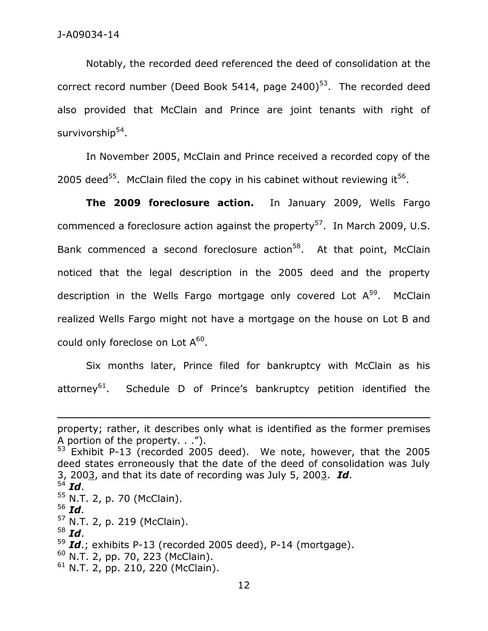Notably, the recorded deed referenced the deed of consolidation at the correct record number (Deed Book 5414, page 2400)<sup>53</sup>. The recorded deed also provided that McClain and Prince are joint tenants with right of survivorship<sup>54</sup>.

In November 2005, McClain and Prince received a recorded copy of the 2005 deed<sup>55</sup>. McClain filed the copy in his cabinet without reviewing it<sup>56</sup>.

**The 2009 foreclosure action.** In January 2009, Wells Fargo commenced a foreclosure action against the property<sup>57</sup>. In March 2009, U.S. Bank commenced a second foreclosure action<sup>58</sup>. At that point, McClain noticed that the legal description in the 2005 deed and the property description in the Wells Fargo mortgage only covered Lot  $A^{59}$ . McClain realized Wells Fargo might not have a mortgage on the house on Lot B and could only foreclose on Lot  $A^{60}$ .

Six months later, Prince filed for bankruptcy with McClain as his attorney<sup>61</sup>. Schedule D of Prince's bankruptcy petition identified the

- <sup>56</sup> *Id*.
- <sup>57</sup> N.T. 2, p. 219 (McClain).
- <sup>58</sup> *Id*.
- <sup>59</sup> *Id*.; exhibits P-13 (recorded 2005 deed), P-14 (mortgage).
- $60$  N.T. 2, pp. 70, 223 (McClain).
- $61$  N.T. 2, pp. 210, 220 (McClain).

property; rather, it describes only what is identified as the former premises A portion of the property. . .").

 $53$  Exhibit P-13 (recorded 2005 deed). We note, however, that the 2005 deed states erroneously that the date of the deed of consolidation was July 3, 2003, and that its date of recording was July 5, 2003. *Id*.

<sup>54</sup> *Id*.

<sup>55</sup> N.T. 2, p. 70 (McClain).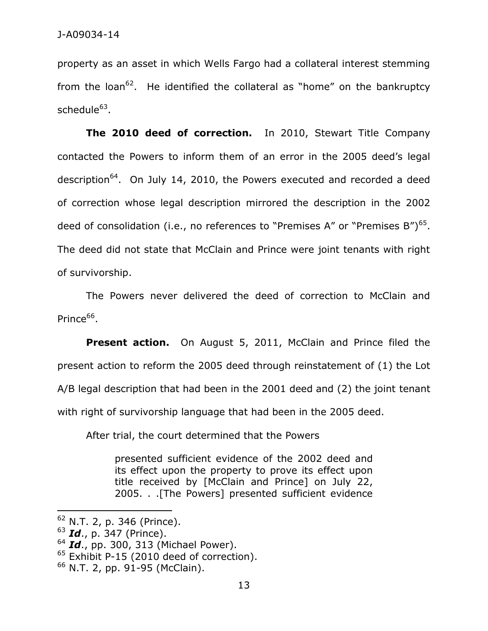property as an asset in which Wells Fargo had a collateral interest stemming from the loan<sup>62</sup>. He identified the collateral as "home" on the bankruptcy schedule<sup>63</sup>.

**The 2010 deed of correction.** In 2010, Stewart Title Company contacted the Powers to inform them of an error in the 2005 deed's legal description<sup>64</sup>. On July 14, 2010, the Powers executed and recorded a deed of correction whose legal description mirrored the description in the 2002 deed of consolidation (i.e., no references to "Premises A" or "Premises B")<sup>65</sup>. The deed did not state that McClain and Prince were joint tenants with right of survivorship.

The Powers never delivered the deed of correction to McClain and Prince<sup>66</sup>.

**Present action.** On August 5, 2011, McClain and Prince filed the present action to reform the 2005 deed through reinstatement of (1) the Lot A/B legal description that had been in the 2001 deed and (2) the joint tenant with right of survivorship language that had been in the 2005 deed.

After trial, the court determined that the Powers

presented sufficient evidence of the 2002 deed and its effect upon the property to prove its effect upon title received by [McClain and Prince] on July 22, 2005. . .[The Powers] presented sufficient evidence

 $62$  N.T. 2, p. 346 (Prince).

<sup>63</sup> *Id*., p. 347 (Prince).

<sup>64</sup> *Id*., pp. 300, 313 (Michael Power).

 $65$  Exhibit P-15 (2010 deed of correction).

<sup>&</sup>lt;sup>66</sup> N.T. 2, pp. 91-95 (McClain).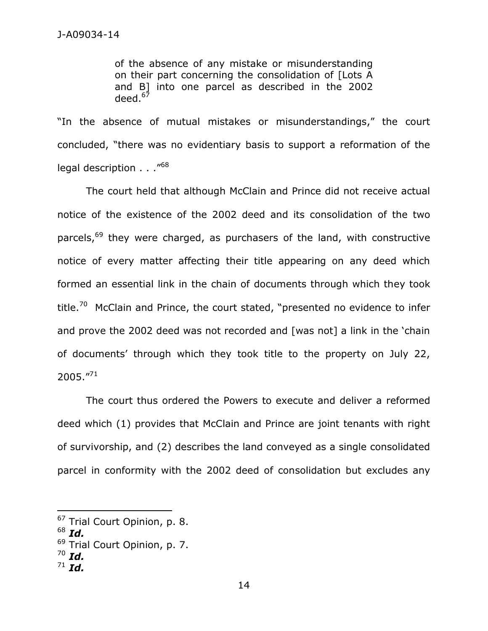of the absence of any mistake or misunderstanding on their part concerning the consolidation of [Lots A and B] into one parcel as described in the 2002 deed. $^{67}$ 

"In the absence of mutual mistakes or misunderstandings," the court concluded, "there was no evidentiary basis to support a reformation of the legal description . . . "<sup>68</sup>

The court held that although McClain and Prince did not receive actual notice of the existence of the 2002 deed and its consolidation of the two parcels,<sup>69</sup> they were charged, as purchasers of the land, with constructive notice of every matter affecting their title appearing on any deed which formed an essential link in the chain of documents through which they took title.<sup>70</sup> McClain and Prince, the court stated, "presented no evidence to infer and prove the 2002 deed was not recorded and [was not] a link in the 'chain of documents' through which they took title to the property on July 22,  $2005."^{71}$ 

The court thus ordered the Powers to execute and deliver a reformed deed which (1) provides that McClain and Prince are joint tenants with right of survivorship, and (2) describes the land conveyed as a single consolidated parcel in conformity with the 2002 deed of consolidation but excludes any

 $\overline{a}$ 

<sup>71</sup> *Id.* 

<sup>&</sup>lt;sup>67</sup> Trial Court Opinion, p. 8.

<sup>68</sup> *Id.* 

<sup>&</sup>lt;sup>69</sup> Trial Court Opinion, p. 7.

<sup>70</sup> *Id.*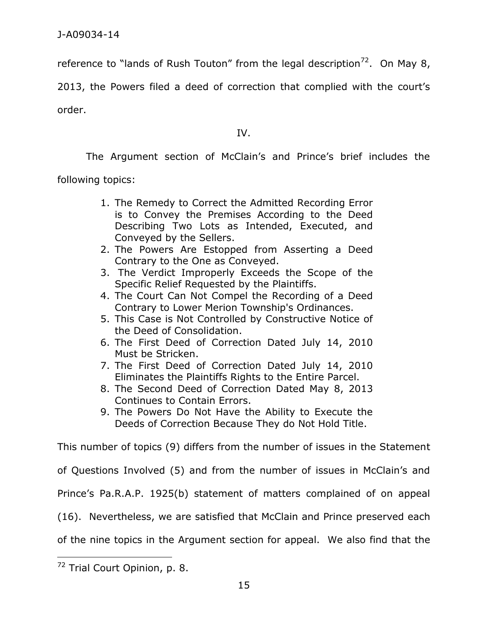reference to "lands of Rush Touton" from the legal description<sup>72</sup>. On May 8,

2013, the Powers filed a deed of correction that complied with the court's order.

IV.

The Argument section of McClain's and Prince's brief includes the

following topics:

- 1. The Remedy to Correct the Admitted Recording Error is to Convey the Premises According to the Deed Describing Two Lots as Intended, Executed, and Conveyed by the Sellers.
- 2. The Powers Are Estopped from Asserting a Deed Contrary to the One as Conveyed.
- 3. The Verdict Improperly Exceeds the Scope of the Specific Relief Requested by the Plaintiffs.
- 4. The Court Can Not Compel the Recording of a Deed Contrary to Lower Merion Township's Ordinances.
- 5. This Case is Not Controlled by Constructive Notice of the Deed of Consolidation.
- 6. The First Deed of Correction Dated July 14, 2010 Must be Stricken.
- 7. The First Deed of Correction Dated July 14, 2010 Eliminates the Plaintiffs Rights to the Entire Parcel.
- 8. The Second Deed of Correction Dated May 8, 2013 Continues to Contain Errors.
- 9. The Powers Do Not Have the Ability to Execute the Deeds of Correction Because They do Not Hold Title.

This number of topics (9) differs from the number of issues in the Statement

of Questions Involved (5) and from the number of issues in McClain's and

Prince's Pa.R.A.P. 1925(b) statement of matters complained of on appeal

(16). Nevertheless, we are satisfied that McClain and Prince preserved each

of the nine topics in the Argument section for appeal. We also find that the

<sup>&</sup>lt;sup>72</sup> Trial Court Opinion, p. 8.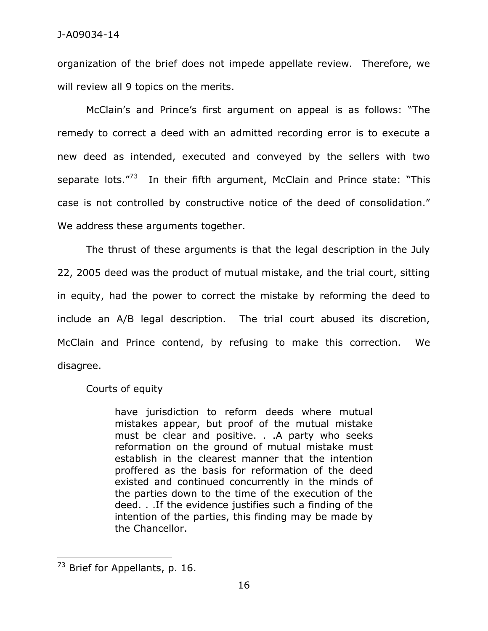## J-A09034-14

organization of the brief does not impede appellate review. Therefore, we will review all 9 topics on the merits.

McClain's and Prince's first argument on appeal is as follows: "The remedy to correct a deed with an admitted recording error is to execute a new deed as intended, executed and conveyed by the sellers with two separate lots."<sup>73</sup> In their fifth argument, McClain and Prince state: "This case is not controlled by constructive notice of the deed of consolidation." We address these arguments together.

The thrust of these arguments is that the legal description in the July 22, 2005 deed was the product of mutual mistake, and the trial court, sitting in equity, had the power to correct the mistake by reforming the deed to include an A/B legal description. The trial court abused its discretion, McClain and Prince contend, by refusing to make this correction. We disagree.

Courts of equity

have jurisdiction to reform deeds where mutual mistakes appear, but proof of the mutual mistake must be clear and positive. . .A party who seeks reformation on the ground of mutual mistake must establish in the clearest manner that the intention proffered as the basis for reformation of the deed existed and continued concurrently in the minds of the parties down to the time of the execution of the deed. . .If the evidence justifies such a finding of the intention of the parties, this finding may be made by the Chancellor.

<sup>&</sup>lt;sup>73</sup> Brief for Appellants, p. 16.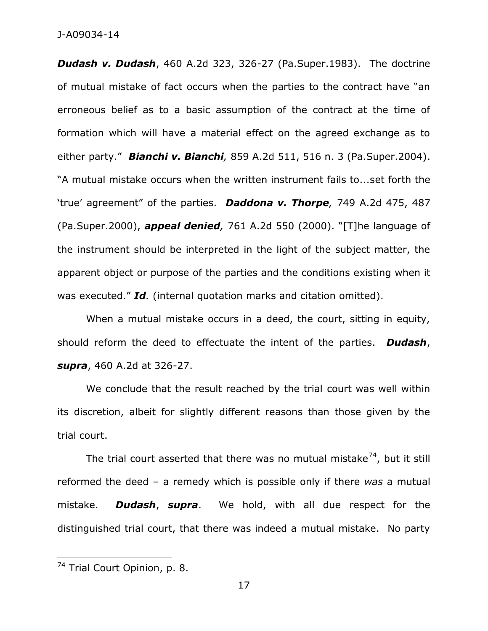J-A09034-14

*Dudash v. Dudash*, 460 A.2d 323, 326-27 (Pa.Super.1983). The doctrine of mutual mistake of fact occurs when the parties to the contract have "an erroneous belief as to a basic assumption of the contract at the time of formation which will have a material effect on the agreed exchange as to either party." *Bianchi v. Bianchi,* [859 A.2d 511, 516 n. 3 \(Pa.Super.2004\).](http://web2.westlaw.com/find/default.wl?mt=79&db=162&tc=-1&rp=%2ffind%2fdefault.wl&findtype=Y&ordoc=2007358465&serialnum=2005138471&vr=2.0&fn=_top&sv=Split&tf=-1&referencepositiontype=S&pbc=5781897B&referenceposition=516&rs=WLW14.07) "A mutual mistake occurs when the written instrument fails to...set forth the 'true' agreement" of the parties. *[Daddona v. Thorpe](http://web2.westlaw.com/find/default.wl?mt=79&db=162&tc=-1&rp=%2ffind%2fdefault.wl&findtype=Y&ordoc=2007358465&serialnum=2000073400&vr=2.0&fn=_top&sv=Split&tf=-1&referencepositiontype=S&pbc=5781897B&referenceposition=487&rs=WLW14.07),* 749 A.2d 475, 487 [\(Pa.Super.2000\),](http://web2.westlaw.com/find/default.wl?mt=79&db=162&tc=-1&rp=%2ffind%2fdefault.wl&findtype=Y&ordoc=2007358465&serialnum=2000073400&vr=2.0&fn=_top&sv=Split&tf=-1&referencepositiontype=S&pbc=5781897B&referenceposition=487&rs=WLW14.07) *appeal denied,* [761 A.2d 550 \(2000\)](http://web2.westlaw.com/find/default.wl?mt=79&db=162&tc=-1&rp=%2ffind%2fdefault.wl&findtype=Y&ordoc=2007358465&serialnum=2000552909&vr=2.0&fn=_top&sv=Split&tf=-1&pbc=5781897B&rs=WLW14.07). "[T]he language of the instrument should be interpreted in the light of the subject matter, the apparent object or purpose of the parties and the conditions existing when it was executed." *[Id](http://web2.westlaw.com/find/default.wl?rs=WLW14.07&pbc=5781897B&vr=2.0&findtype=Y&rp=%2ffind%2fdefault.wl&sv=Split&fn=_top&tf=-1&ordoc=2007358465&mt=79&serialnum=2000073400&tc=-1).* (internal quotation marks and citation omitted).

 When a mutual mistake occurs in a deed, the court, sitting in equity, should reform the deed to effectuate the intent of the parties. *Dudash*, *supra*, 460 A.2d at 326-27.

 We conclude that the result reached by the trial court was well within its discretion, albeit for slightly different reasons than those given by the trial court.

The trial court asserted that there was no mutual mistake<sup>74</sup>, but it still reformed the deed – a remedy which is possible only if there *was* a mutual mistake. *Dudash*, *supra*. We hold, with all due respect for the distinguished trial court, that there was indeed a mutual mistake. No party

<sup>&</sup>lt;sup>74</sup> Trial Court Opinion, p. 8.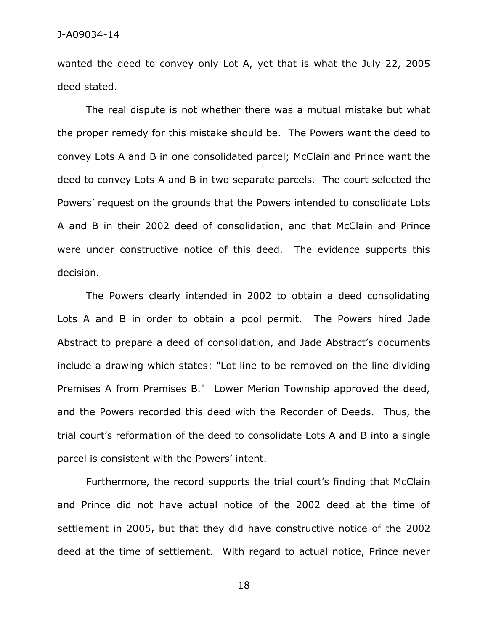wanted the deed to convey only Lot A, yet that is what the July 22, 2005 deed stated.

The real dispute is not whether there was a mutual mistake but what the proper remedy for this mistake should be. The Powers want the deed to convey Lots A and B in one consolidated parcel; McClain and Prince want the deed to convey Lots A and B in two separate parcels. The court selected the Powers' request on the grounds that the Powers intended to consolidate Lots A and B in their 2002 deed of consolidation, and that McClain and Prince were under constructive notice of this deed. The evidence supports this decision.

The Powers clearly intended in 2002 to obtain a deed consolidating Lots A and B in order to obtain a pool permit. The Powers hired Jade Abstract to prepare a deed of consolidation, and Jade Abstract's documents include a drawing which states: "Lot line to be removed on the line dividing Premises A from Premises B." Lower Merion Township approved the deed, and the Powers recorded this deed with the Recorder of Deeds. Thus, the trial court's reformation of the deed to consolidate Lots A and B into a single parcel is consistent with the Powers' intent.

Furthermore, the record supports the trial court's finding that McClain and Prince did not have actual notice of the 2002 deed at the time of settlement in 2005, but that they did have constructive notice of the 2002 deed at the time of settlement. With regard to actual notice, Prince never

18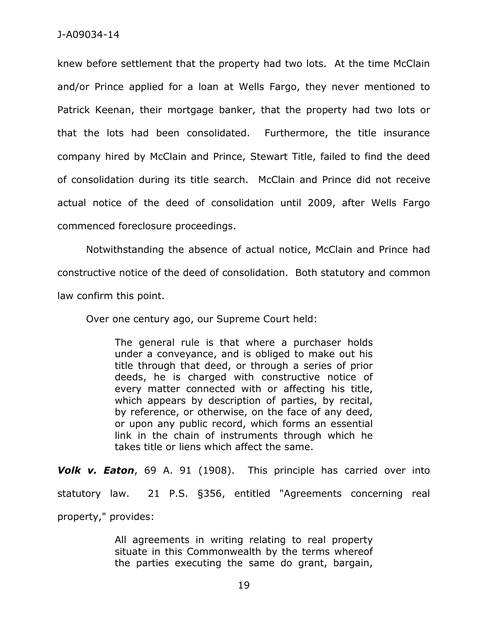knew before settlement that the property had two lots. At the time McClain and/or Prince applied for a loan at Wells Fargo, they never mentioned to Patrick Keenan, their mortgage banker, that the property had two lots or that the lots had been consolidated. Furthermore, the title insurance company hired by McClain and Prince, Stewart Title, failed to find the deed of consolidation during its title search. McClain and Prince did not receive actual notice of the deed of consolidation until 2009, after Wells Fargo commenced foreclosure proceedings.

Notwithstanding the absence of actual notice, McClain and Prince had constructive notice of the deed of consolidation. Both statutory and common law confirm this point.

Over one century ago, our Supreme Court held:

The general rule is that where a purchaser holds under a conveyance, and is obliged to make out his title through that deed, or through a series of prior deeds, he is charged with constructive notice of every matter connected with or affecting his title, which appears by description of parties, by recital, by reference, or otherwise, on the face of any deed, or upon any public record, which forms an essential link in the chain of instruments through which he takes title or liens which affect the same.

*Volk v. Eaton*, 69 A. 91 (1908). This principle has carried over into statutory law. 21 P.S. §356, entitled "Agreements concerning real property," provides:

> All agreements in writing relating to real property situate in this Commonwealth by the terms whereof the parties executing the same do grant, bargain,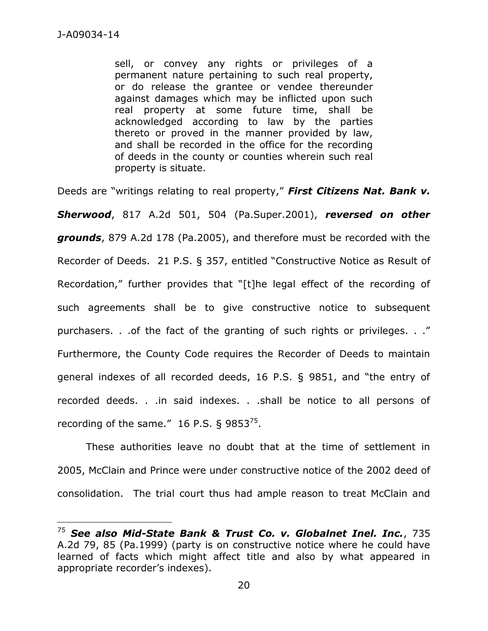$\overline{a}$ 

sell, or convey any rights or privileges of a permanent nature pertaining to such real property, or do release the grantee or vendee thereunder against damages which may be inflicted upon such real property at some future time, shall be acknowledged according to law by the parties thereto or proved in the manner provided by law, and shall be recorded in the office for the recording of deeds in the county or counties wherein such real property is situate.

Deeds are "writings relating to real property," *First Citizens Nat. Bank v. Sherwood*, 817 A.2d 501, 504 (Pa.Super.2001), *reversed on other grounds*, 879 A.2d 178 (Pa.2005), and therefore must be recorded with the Recorder of Deeds. 21 P.S. § 357, entitled "Constructive Notice as Result of Recordation," further provides that "[t]he legal effect of the recording of such agreements shall be to give constructive notice to subsequent purchasers. . .of the fact of the granting of such rights or privileges. . ." Furthermore, the County Code requires the Recorder of Deeds to maintain general indexes of all recorded deeds, 16 P.S. § 9851, and "the entry of recorded deeds. . .in said indexes. . .shall be notice to all persons of recording of the same."  $16$  P.S. § 9853<sup>75</sup>.

 These authorities leave no doubt that at the time of settlement in 2005, McClain and Prince were under constructive notice of the 2002 deed of consolidation. The trial court thus had ample reason to treat McClain and

<sup>75</sup> *See also Mid-State Bank & Trust Co. v. Globalnet Inel. Inc.*, 735 A.2d 79, 85 (Pa.1999) (party is on constructive notice where he could have learned of facts which might affect title and also by what appeared in appropriate recorder's indexes).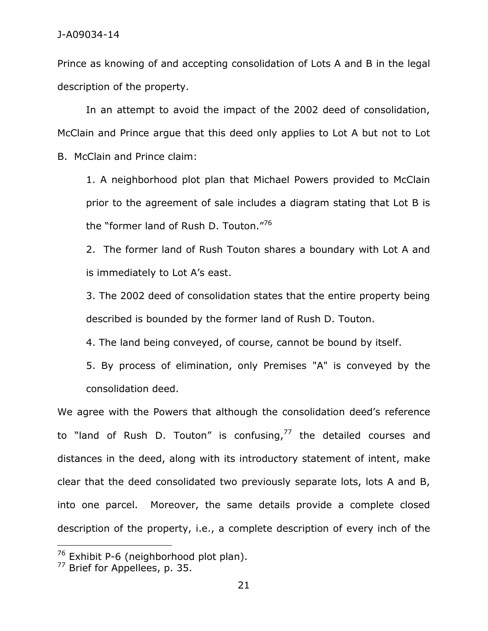Prince as knowing of and accepting consolidation of Lots A and B in the legal description of the property.

 In an attempt to avoid the impact of the 2002 deed of consolidation, McClain and Prince argue that this deed only applies to Lot A but not to Lot B. McClain and Prince claim:

1. A neighborhood plot plan that Michael Powers provided to McClain prior to the agreement of sale includes a diagram stating that Lot B is the "former land of Rush D. Touton."<sup>76</sup>

2. The former land of Rush Touton shares a boundary with Lot A and is immediately to Lot A's east.

3. The 2002 deed of consolidation states that the entire property being described is bounded by the former land of Rush D. Touton.

4. The land being conveyed, of course, cannot be bound by itself.

5. By process of elimination, only Premises "A" is conveyed by the consolidation deed.

We agree with the Powers that although the consolidation deed's reference to "land of Rush D. Touton" is confusing, $77$  the detailed courses and distances in the deed, along with its introductory statement of intent, make clear that the deed consolidated two previously separate lots, lots A and B, into one parcel. Moreover, the same details provide a complete closed description of the property, i.e., a complete description of every inch of the

<sup>&</sup>lt;sup>76</sup> Exhibit P-6 (neighborhood plot plan).

 $77$  Brief for Appellees, p. 35.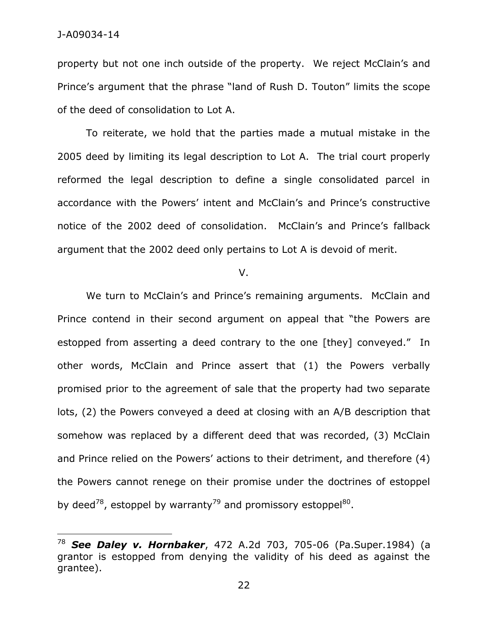$\overline{a}$ 

property but not one inch outside of the property. We reject McClain's and Prince's argument that the phrase "land of Rush D. Touton" limits the scope of the deed of consolidation to Lot A.

 To reiterate, we hold that the parties made a mutual mistake in the 2005 deed by limiting its legal description to Lot A. The trial court properly reformed the legal description to define a single consolidated parcel in accordance with the Powers' intent and McClain's and Prince's constructive notice of the 2002 deed of consolidation. McClain's and Prince's fallback argument that the 2002 deed only pertains to Lot A is devoid of merit.

V.

We turn to McClain's and Prince's remaining arguments. McClain and Prince contend in their second argument on appeal that "the Powers are estopped from asserting a deed contrary to the one [they] conveyed." In other words, McClain and Prince assert that (1) the Powers verbally promised prior to the agreement of sale that the property had two separate lots, (2) the Powers conveyed a deed at closing with an A/B description that somehow was replaced by a different deed that was recorded, (3) McClain and Prince relied on the Powers' actions to their detriment, and therefore (4) the Powers cannot renege on their promise under the doctrines of estoppel by deed<sup>78</sup>, estoppel by warranty<sup>79</sup> and promissory estoppel<sup>80</sup>.

<sup>78</sup> *See Daley v. Hornbaker*, 472 A.2d 703, 705-06 (Pa.Super.1984) (a grantor is estopped from denying the validity of his deed as against the grantee).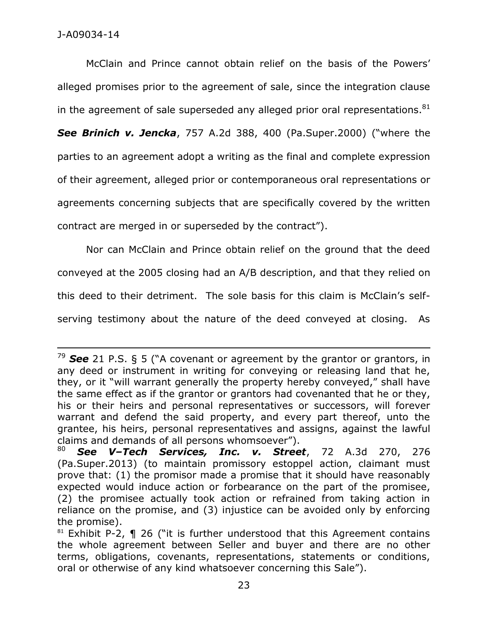$\overline{a}$ 

McClain and Prince cannot obtain relief on the basis of the Powers' alleged promises prior to the agreement of sale, since the integration clause in the agreement of sale superseded any alleged prior oral representations. $^{81}$ 

*See Brinich v. Jencka*, 757 A.2d 388, 400 (Pa.Super.2000) ("where the parties to an agreement adopt a writing as the final and complete expression of their agreement, alleged prior or contemporaneous oral representations or agreements concerning subjects that are specifically covered by the written contract are merged in or superseded by the contract").

 Nor can McClain and Prince obtain relief on the ground that the deed conveyed at the 2005 closing had an A/B description, and that they relied on this deed to their detriment. The sole basis for this claim is McClain's selfserving testimony about the nature of the deed conveyed at closing. As

<sup>79</sup> *See* 21 P.S. § 5 ("A covenant or agreement by the grantor or grantors, in any deed or instrument in writing for conveying or releasing land that he, they, or it "will warrant generally the property hereby conveyed," shall have the same effect as if the grantor or grantors had covenanted that he or they, his or their heirs and personal representatives or successors, will forever warrant and defend the said property, and every part thereof, unto the grantee, his heirs, personal representatives and assigns, against the lawful claims and demands of all persons whomsoever").

<sup>80</sup> *See V–Tech Services, Inc. v. Street*, 72 A.3d 270, 276 (Pa.Super.2013) (to maintain promissory estoppel action, claimant must prove that: (1) the promisor made a promise that it should have reasonably expected would induce action or forbearance on the part of the promisee, (2) the promisee actually took action or refrained from taking action in reliance on the promise, and (3) injustice can be avoided only by enforcing the promise).

<sup>&</sup>lt;sup>81</sup> Exhibit P-2,  $\P$  26 ("it is further understood that this Agreement contains the whole agreement between Seller and buyer and there are no other terms, obligations, covenants, representations, statements or conditions, oral or otherwise of any kind whatsoever concerning this Sale").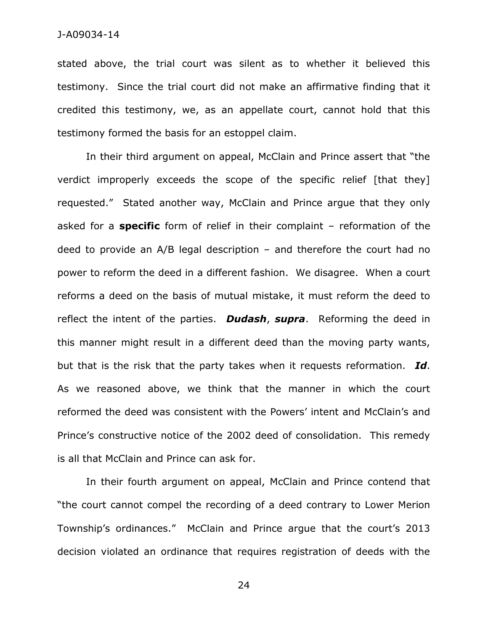stated above, the trial court was silent as to whether it believed this testimony. Since the trial court did not make an affirmative finding that it credited this testimony, we, as an appellate court, cannot hold that this testimony formed the basis for an estoppel claim.

In their third argument on appeal, McClain and Prince assert that "the verdict improperly exceeds the scope of the specific relief [that they] requested." Stated another way, McClain and Prince argue that they only asked for a **specific** form of relief in their complaint – reformation of the deed to provide an A/B legal description – and therefore the court had no power to reform the deed in a different fashion. We disagree. When a court reforms a deed on the basis of mutual mistake, it must reform the deed to reflect the intent of the parties. *Dudash*, *supra*. Reforming the deed in this manner might result in a different deed than the moving party wants, but that is the risk that the party takes when it requests reformation. *Id*. As we reasoned above, we think that the manner in which the court reformed the deed was consistent with the Powers' intent and McClain's and Prince's constructive notice of the 2002 deed of consolidation. This remedy is all that McClain and Prince can ask for.

 In their fourth argument on appeal, McClain and Prince contend that "the court cannot compel the recording of a deed contrary to Lower Merion Township's ordinances." McClain and Prince argue that the court's 2013 decision violated an ordinance that requires registration of deeds with the

24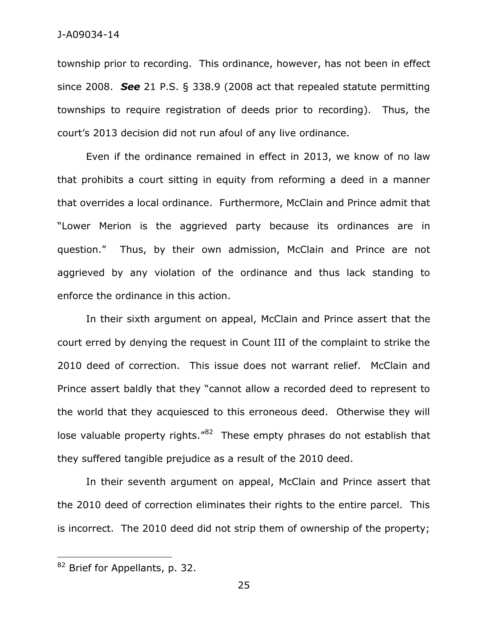township prior to recording. This ordinance, however, has not been in effect since 2008. *See* 21 P.S. § 338.9 (2008 act that repealed statute permitting townships to require registration of deeds prior to recording). Thus, the court's 2013 decision did not run afoul of any live ordinance.

Even if the ordinance remained in effect in 2013, we know of no law that prohibits a court sitting in equity from reforming a deed in a manner that overrides a local ordinance. Furthermore, McClain and Prince admit that "Lower Merion is the aggrieved party because its ordinances are in question." Thus, by their own admission, McClain and Prince are not aggrieved by any violation of the ordinance and thus lack standing to enforce the ordinance in this action.

 In their sixth argument on appeal, McClain and Prince assert that the court erred by denying the request in Count III of the complaint to strike the 2010 deed of correction. This issue does not warrant relief. McClain and Prince assert baldly that they "cannot allow a recorded deed to represent to the world that they acquiesced to this erroneous deed. Otherwise they will lose valuable property rights."<sup>82</sup> These empty phrases do not establish that they suffered tangible prejudice as a result of the 2010 deed.

 In their seventh argument on appeal, McClain and Prince assert that the 2010 deed of correction eliminates their rights to the entire parcel. This is incorrect. The 2010 deed did not strip them of ownership of the property;

<sup>&</sup>lt;sup>82</sup> Brief for Appellants, p. 32.